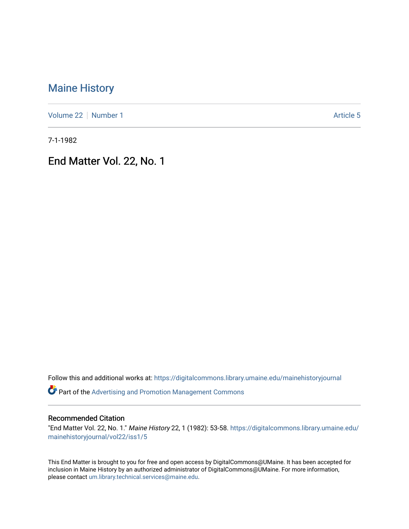# [Maine History](https://digitalcommons.library.umaine.edu/mainehistoryjournal)

[Volume 22](https://digitalcommons.library.umaine.edu/mainehistoryjournal/vol22) [Number 1](https://digitalcommons.library.umaine.edu/mainehistoryjournal/vol22/iss1) Article 5

7-1-1982

End Matter Vol. 22, No. 1

Follow this and additional works at: [https://digitalcommons.library.umaine.edu/mainehistoryjournal](https://digitalcommons.library.umaine.edu/mainehistoryjournal?utm_source=digitalcommons.library.umaine.edu%2Fmainehistoryjournal%2Fvol22%2Fiss1%2F5&utm_medium=PDF&utm_campaign=PDFCoverPages) 

Part of the [Advertising and Promotion Management Commons](http://network.bepress.com/hgg/discipline/626?utm_source=digitalcommons.library.umaine.edu%2Fmainehistoryjournal%2Fvol22%2Fiss1%2F5&utm_medium=PDF&utm_campaign=PDFCoverPages) 

#### Recommended Citation

"End Matter Vol. 22, No. 1." Maine History 22, 1 (1982): 53-58. [https://digitalcommons.library.umaine.edu/](https://digitalcommons.library.umaine.edu/mainehistoryjournal/vol22/iss1/5?utm_source=digitalcommons.library.umaine.edu%2Fmainehistoryjournal%2Fvol22%2Fiss1%2F5&utm_medium=PDF&utm_campaign=PDFCoverPages) [mainehistoryjournal/vol22/iss1/5](https://digitalcommons.library.umaine.edu/mainehistoryjournal/vol22/iss1/5?utm_source=digitalcommons.library.umaine.edu%2Fmainehistoryjournal%2Fvol22%2Fiss1%2F5&utm_medium=PDF&utm_campaign=PDFCoverPages)

This End Matter is brought to you for free and open access by DigitalCommons@UMaine. It has been accepted for inclusion in Maine History by an authorized administrator of DigitalCommons@UMaine. For more information, please contact [um.library.technical.services@maine.edu.](mailto:um.library.technical.services@maine.edu)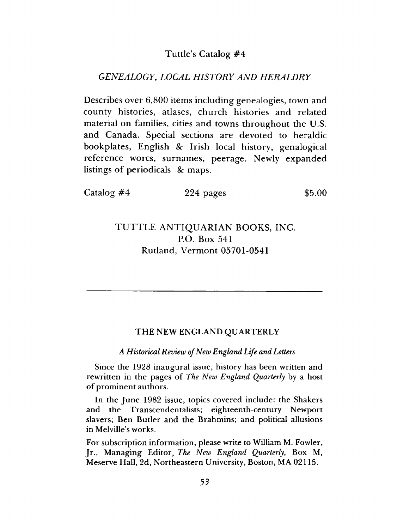## Tuttle's Catalog #4

### *GENEALOGY*, *LOCAL HISTORY AND HERALDRY*

Describes over 6,800 items including genealogies, town and county histories, atlases, church histories and related material on families, cities and towns throughout the U.S. and Canada. Special sections are devoted to heraldic bookplates, English *8c* Irish local history, genalogical reference worcs, surnames, peerage. Newly expanded listings of periodicals & maps.

| Catalog $#4$ | 224 pages | \$5.00 |
|--------------|-----------|--------|
|              |           |        |

## TUTTLE ANTIQUARIAN BOOKS, INC. P.O. Box 541 Rutland, Vermont 05701-0541

#### THE NEW ENGLAND QUARTERLY

*A Historical Review of New England Life and Letters*

Since the 1928 inaugural issue, history has been written and rewritten in the pages of *The New England Quarterly* by a host of prominent authors.

In the June 1982 issue, topics covered include: the Shakers and the Transcendentalists; eighteenth-century Newport slavers; Ben Butler and the Brahmins; and political allusions in Melville's works.

For subscription information, please write to William M. Fowler, Jr., Managing Editor, *The New England Quarterly*, Box M, Meserve Hall, 2d, Northeastern University, Boston, MA 02115.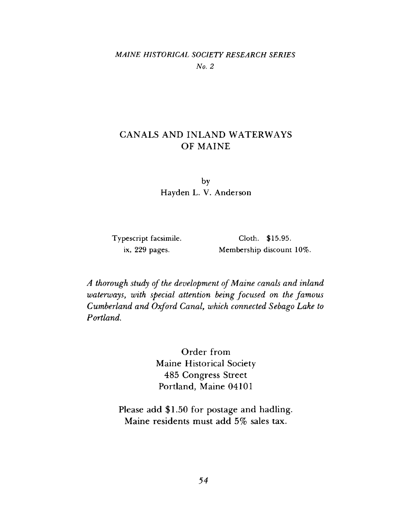## *MAINE HISTORICAL SOCIETY RESEARCH SERIES No. 2*

## CANALS AND INLAND WATERWAYS OF MAINE

by Hayden L. V. Anderson

Typescript facsimile, ix, 229 pages.

Cloth. \$15.95. Membership discount 10%.

*A thorough study of the development of Maine canals and inland waterways, with special attention being focused on the famous Cumberland and Oxford Canal, which connected Sebago Lake to Portland.*

> Order from Maine Historical Society 485 Congress Street Portland, Maine 04101

Please add \$1.50 for postage and hadling. Maine residents must add 5% sales tax.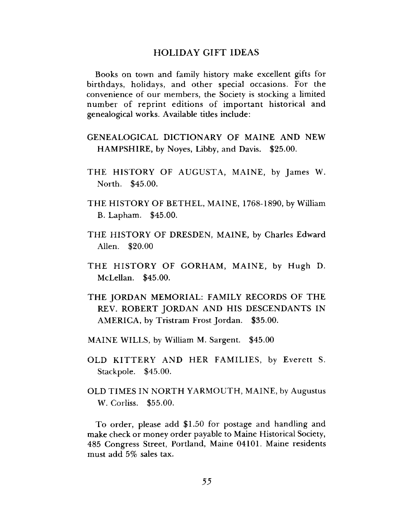#### HOLIDAY GIFT IDEAS

Books on town and family history make excellent gifts for birthdays, holidays, and other special occasions. For the convenience of our members, the Society is stocking a limited number of reprint editions of important historical and genealogical works. Available titles include:

- GENEALOGICAL DICTIONARY OF MAINE AND NEW HAMPSHIRE, by Noyes, Libby, and Davis. \$25.00.
- THE HISTORY OF AUGUSTA, MAINE, by James W. North. \$45.00.
- THE HISTORY OF BETHEL, MAINE, 1768-1890, by William B. Lapham. \$45.00.
- THE HISTORY OF DRESDEN, MAINE, by Charles Edward Allen. \$20.00
- THE HISTORY OF GORHAM, MAINE, by Hugh D. McLellan. \$45.00.
- THE JORDAN MEMORIAL: FAMILY RECORDS OF THE REV. ROBERT JORDAN AND HIS DESCENDANTS IN AMERICA, by Tristram Frost Jordan. \$35.00.
- MAINE WILLS, by William M. Sargent. \$45.00
- OLD KITTERY AND HER FAMILIES, by Everett S. Stackpole. \$45,00.
- OLD TIMES IN NORTH YARMOUTH, MAINE, by Augustus W. Corliss. \$55.00.

To order, please add \$1.50 for postage and handling and make check or money order payable to Maine Historical Society, 485 Congress Street, Portland, Maine 04101. Maine residents must add 5% sales tax.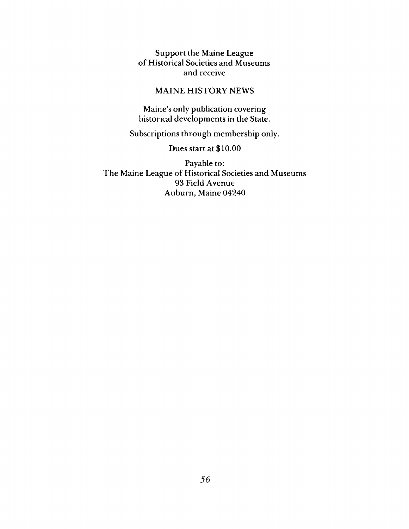Support the Maine League of Historical Societies and Museums and receive

## MAINE HISTORY NEWS

Maine's only publication covering historical developments in the State.

Subscriptions through membership only.

## Dues start at \$10.00

Payable to: The Maine League of Historical Societies and Museums 93 Field Avenue Auburn, Maine 04240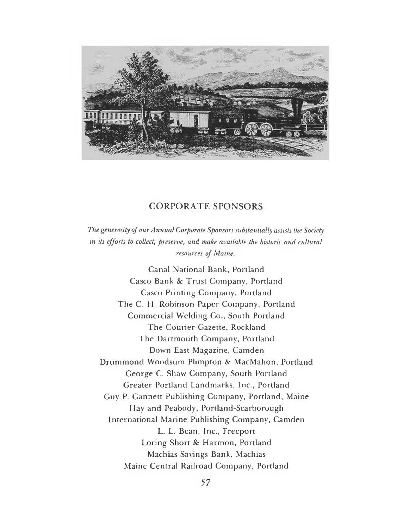

## CORPORATE SPONSORS

*The generosity of our Annual Corporate Sponsors substantially assists the Society in its efforts to collect***,** *preserve***,** *and make available the historic and cultural resources of Maine.*

**Canal National Bank, Portland Casco Bank** *8c* **Trust Company, Portland Casco Printing Company, Portland The C. H. Robinson Paper Company, Portland Commercial Welding Co., South Portland The Courier-Gazette, Rockland The Dartmouth Company, Portland Down East Magazine, Camden Drummond Woodsum Plimpton** *8c* **MacMahon, Portland George C. Shaw Company, South Portland Greater Portland Landmarks, Inc., Portland Guy P. Gannett Publishing Company, Portland, Maine Hay and Peabody, Portland-Scarborough International Marine Publishing Company, Camden L. L. Bean, Inc., Freeport Loring Short** *8c* **Harmon, Portland Machias Savings Bank, Machias Maine Central Railroad Company, Portland**